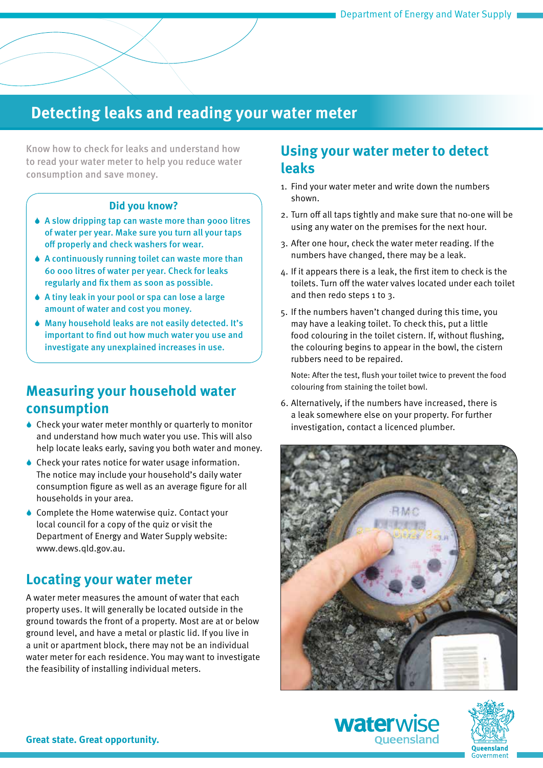# **Detecting leaks and reading your water meter**

Know how to check for leaks and understand how to read your water meter to help you reduce water consumption and save money.

#### **Did you know?**

- 6 A slow dripping tap can waste more than 9000 litres of water per year. Make sure you turn all your taps off properly and check washers for wear.
- 6 A continuously running toilet can waste more than 60 000 litres of water per year. Check for leaks regularly and fix them as soon as possible.
- 6 A tiny leak in your pool or spa can lose a large amount of water and cost you money.
- 6 Many household leaks are not easily detected. It's important to find out how much water you use and investigate any unexplained increases in use.

### **Measuring your household water consumption**

- 6 Check your water meter monthly or quarterly to monitor and understand how much water you use. This will also help locate leaks early, saving you both water and money.
- 6 Check your rates notice for water usage information. The notice may include your household's daily water consumption figure as well as an average figure for all households in your area.
- ♦ Complete the Home waterwise quiz. Contact your local council for a copy of the quiz or visit the Department of Energy and Water Supply website: www.dews.qld.gov.au.

## **Locating your water meter**

A water meter measures the amount of water that each property uses. It will generally be located outside in the ground towards the front of a property. Most are at or below ground level, and have a metal or plastic lid. If you live in a unit or apartment block, there may not be an individual water meter for each residence. You may want to investigate the feasibility of installing individual meters.

#### **Using your water meter to detect leaks**

- 1. Find your water meter and write down the numbers shown.
- 2. Turn off all taps tightly and make sure that no-one will be using any water on the premises for the next hour.
- 3. After one hour, check the water meter reading. If the numbers have changed, there may be a leak.
- 4. If it appears there is a leak, the first item to check is the toilets. Turn off the water valves located under each toilet and then redo steps 1 to 3.
- 5. If the numbers haven't changed during this time, you may have a leaking toilet. To check this, put a little food colouring in the toilet cistern. If, without flushing, the colouring begins to appear in the bowl, the cistern rubbers need to be repaired.

Note: After the test, flush your toilet twice to prevent the food colouring from staining the toilet bowl.

6. Alternatively, if the numbers have increased, there is a leak somewhere else on your property. For further investigation, contact a licenced plumber.